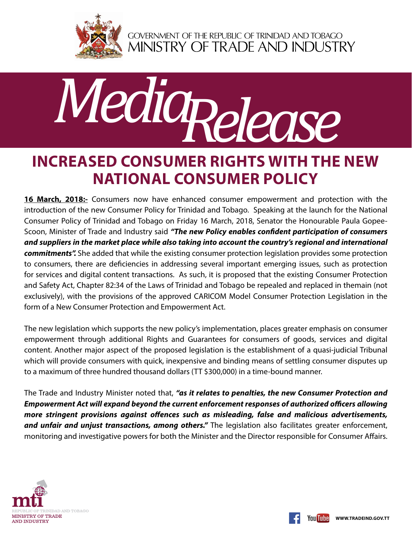

GOVERNMENT OF THE REPUBLIC OF TRINIDAD AND TOBAGO<br>MINISTRY OF TRADE AND INDUSTRY



## **Increased Consumer Rights with the new National Consumer Policy**

16 March, 2018:- Consumers now have enhanced consumer empowerment and protection with the introduction of the new Consumer Policy for Trinidad and Tobago. Speaking at the launch for the National Consumer Policy of Trinidad and Tobago on Friday 16 March, 2018, Senator the Honourable Paula Gopee-Scoon, Minister of Trade and Industry said *"The new Policy enables confident participation of consumers and suppliers in the market place while also taking into account the country's regional and international commitments".* She added that while the existing consumer protection legislation provides some protection to consumers, there are deficiencies in addressing several important emerging issues, such as protection for services and digital content transactions. As such, it is proposed that the existing Consumer Protection and Safety Act, Chapter 82:34 of the Laws of Trinidad and Tobago be repealed and replaced in themain (not exclusively), with the provisions of the approved CARICOM Model Consumer Protection Legislation in the form of a New Consumer Protection and Empowerment Act.

The new legislation which supports the new policy's implementation, places greater emphasis on consumer empowerment through additional Rights and Guarantees for consumers of goods, services and digital content. Another major aspect of the proposed legislation is the establishment of a quasi-judicial Tribunal which will provide consumers with quick, inexpensive and binding means of settling consumer disputes up to a maximum of three hundred thousand dollars (TT \$300,000) in a time-bound manner.

The Trade and Industry Minister noted that, *"as it relates to penalties, the new Consumer Protection and Empowerment Act will expand beyond the current enforcement responses of authorized officers allowing more stringent provisions against offences such as misleading, false and malicious advertisements,*  and unfair and unjust transactions, among others." The legislation also facilitates greater enforcement, monitoring and investigative powers for both the Minister and the Director responsible for Consumer Affairs.